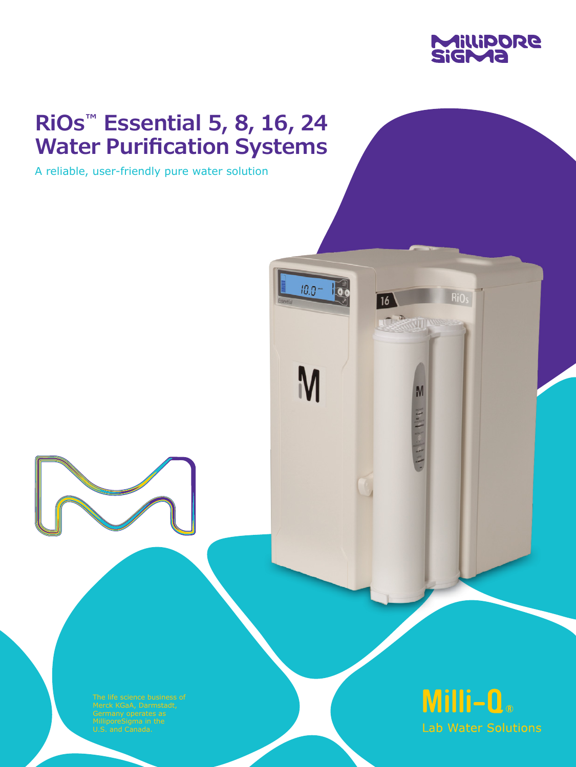

# **RiOs™ Essential 5, 8, 16, 24 Water Purification Systems**

 $10.0 -$ 

 $\overline{\overline{\mathbf{0}}\mathbf{0}}$ 

 $\overline{16}$ 

**JUSTING WATER** 

 $\mathsf{M}$ 

Philadelphia

A reliable, user-friendly pure water solution

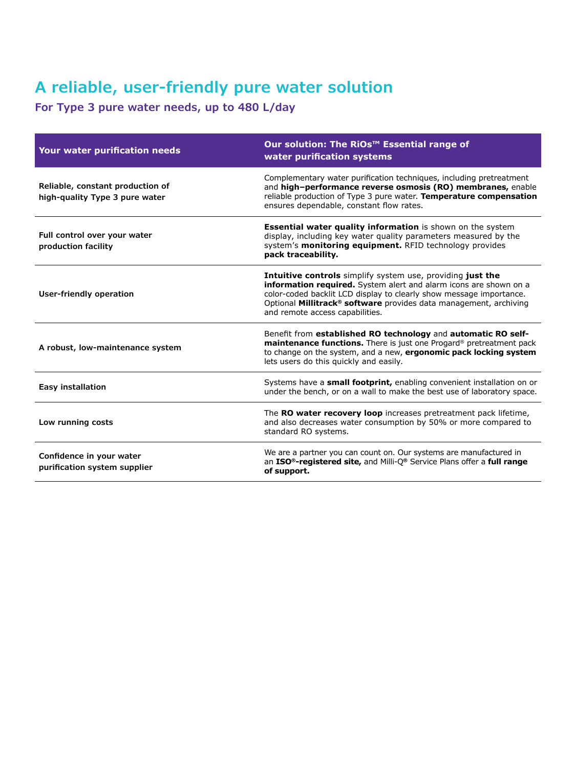#### **A reliable, user-friendly pure water solution**

**For Type 3 pure water needs, up to 480 L/day**

| Your water purification needs                                      | Our solution: The RiOs <sup>™</sup> Essential range of<br>water purification systems                                                                                                                                                                                                                                       |
|--------------------------------------------------------------------|----------------------------------------------------------------------------------------------------------------------------------------------------------------------------------------------------------------------------------------------------------------------------------------------------------------------------|
| Reliable, constant production of<br>high-quality Type 3 pure water | Complementary water purification techniques, including pretreatment<br>and high-performance reverse osmosis (RO) membranes, enable<br>reliable production of Type 3 pure water. Temperature compensation<br>ensures dependable, constant flow rates.                                                                       |
| Full control over your water<br>production facility                | <b>Essential water quality information</b> is shown on the system<br>display, including key water quality parameters measured by the<br>system's monitoring equipment. RFID technology provides<br>pack traceability.                                                                                                      |
| User-friendly operation                                            | Intuitive controls simplify system use, providing just the<br>information required. System alert and alarm icons are shown on a<br>color-coded backlit LCD display to clearly show message importance.<br>Optional Millitrack <sup>®</sup> software provides data management, archiving<br>and remote access capabilities. |
| A robust, low-maintenance system                                   | Benefit from established RO technology and automatic RO self-<br>maintenance functions. There is just one Progard® pretreatment pack<br>to change on the system, and a new, ergonomic pack locking system<br>lets users do this quickly and easily.                                                                        |
| <b>Easy installation</b>                                           | Systems have a small footprint, enabling convenient installation on or<br>under the bench, or on a wall to make the best use of laboratory space.                                                                                                                                                                          |
| Low running costs                                                  | The RO water recovery loop increases pretreatment pack lifetime,<br>and also decreases water consumption by 50% or more compared to<br>standard RO systems.                                                                                                                                                                |
| Confidence in your water<br>purification system supplier           | We are a partner you can count on. Our systems are manufactured in<br>an ISO <sup>®</sup> -registered site, and Milli-Q® Service Plans offer a full range<br>of support.                                                                                                                                                   |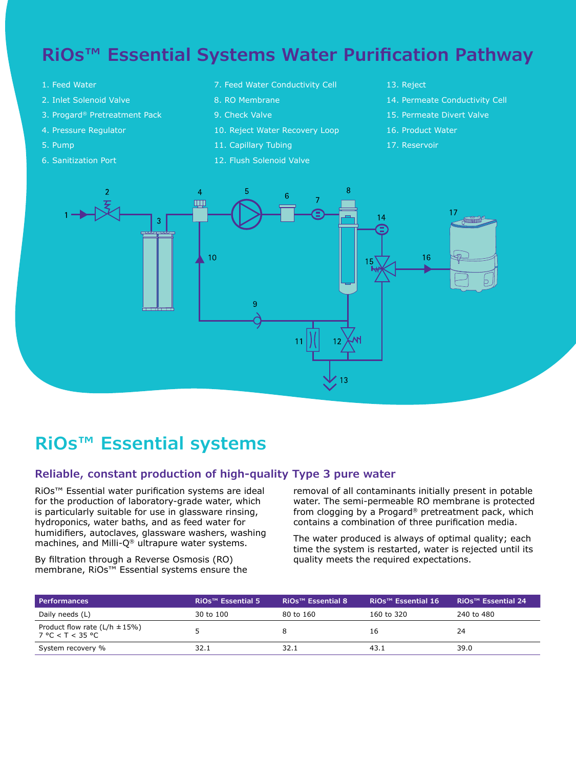### **RiOs™ Essential Systems Water Purification Pathway**

- 1. Feed Water
- 2. Inlet Solenoid Valve
- 3. Progard® Pretreatment Pack
- 4. Pressure Regulator
- 5. Pump
- 6. Sanitization Port
- 7. Feed Water Conductivity Cell
- 8. RO Membrane
- 9. Check Valve
- 10. Reject Water Recovery Loop
- 11. Capillary Tubing
- 12. Flush Solenoid Valve
- 13. Reject
- 14. Permeate Conductivity Cell
- 15. Permeate Divert Valve
- 16. Product Water
- 17. Reservoir



### **RiOs™ Essential systems**

#### **Reliable, constant production of high-quality Type 3 pure water**

RiOs™ Essential water purification systems are ideal for the production of laboratory-grade water, which is particularly suitable for use in glassware rinsing, hydroponics, water baths, and as feed water for humidifiers, autoclaves, glassware washers, washing machines, and Milli-Q® ultrapure water systems.

By filtration through a Reverse Osmosis (RO) membrane, RiOs™ Essential systems ensure the removal of all contaminants initially present in potable water. The semi-permeable RO membrane is protected from clogging by a Progard® pretreatment pack, which contains a combination of three purification media.

The water produced is always of optimal quality; each time the system is restarted, water is rejected until its quality meets the required expectations.

| <b>Performances</b>                                      | RiOs <sup>™</sup> Essential 5 | RiOs <sup>™</sup> Essential 8 | RiOs <sup>™</sup> Essential 16 | <i>RiOs™ Essential 24</i> |
|----------------------------------------------------------|-------------------------------|-------------------------------|--------------------------------|---------------------------|
| Daily needs (L)                                          | 30 to 100                     | 80 to 160                     | 160 to 320                     | 240 to 480                |
| Product flow rate ( $L/h \pm 15\%$ )<br>7 °C < T < 35 °C |                               |                               | 16                             | 24                        |
| System recovery %                                        | 32.1                          | 32.1                          | 43.1                           | 39.0                      |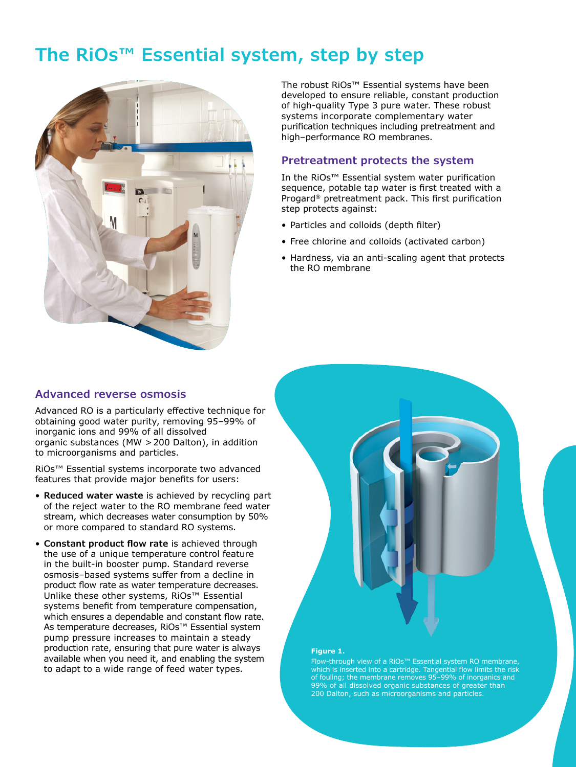### **The RiOs™ Essential system, step by step**



The robust RiOs™ Essential systems have been developed to ensure reliable, constant production of high-quality Type 3 pure water. These robust systems incorporate complementary water purification techniques including pretreatment and high–performance RO membranes.

#### **Pretreatment protects the system**

In the RiOs™ Essential system water purification sequence, potable tap water is first treated with a Progard® pretreatment pack. This first purification step protects against:

- Particles and colloids (depth filter)
- Free chlorine and colloids (activated carbon)
- Hardness, via an anti-scaling agent that protects the RO membrane

#### **Advanced reverse osmosis**

Advanced RO is a particularly effective technique for obtaining good water purity, removing 95–99% of inorganic ions and 99% of all dissolved organic substances (MW >200 Dalton), in addition to microorganisms and particles.

RiOs™ Essential systems incorporate two advanced features that provide major benefits for users:

- **Reduced water waste** is achieved by recycling part of the reject water to the RO membrane feed water stream, which decreases water consumption by 50% or more compared to standard RO systems.
- **Constant product flow rate** is achieved through the use of a unique temperature control feature in the built-in booster pump. Standard reverse osmosis–based systems suffer from a decline in product flow rate as water temperature decreases. Unlike these other systems, RiOs™ Essential systems benefit from temperature compensation, which ensures a dependable and constant flow rate. As temperature decreases, RiOs™ Essential system pump pressure increases to maintain a steady production rate, ensuring that pure water is always available when you need it, and enabling the system to adapt to a wide range of feed water types.



#### **Figure 1.**

Flow-through view of a RiOs™ Essential system RO membrane, which is inserted into a cartridge. Tangential flow limits the risk of fouling; the membrane removes 95–99% of inorganics and 99% of all dissolved organic substances of greater than 200 Dalton, such as microorganisms and particles.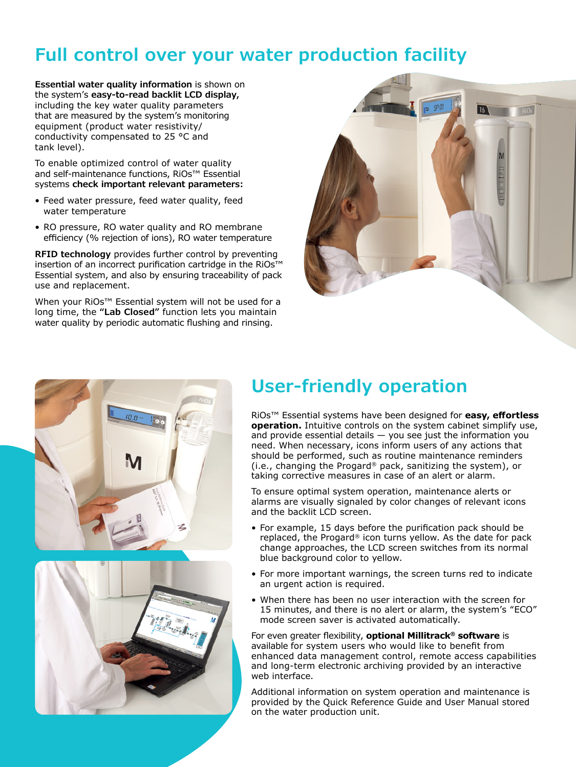### **Full control over your water production facility**

**Essential water quality information** is shown on the system's **easy-to-read backlit LCD display,** including the key water quality parameters that are measured by the system's monitoring equipment (product water resistivity/ conductivity compensated to 25 °C and tank level).

To enable optimized control of water quality and self-maintenance functions, RiOs™ Essential systems **check important relevant parameters:**

- Feed water pressure, feed water quality, feed water temperature
- RO pressure, RO water quality and RO membrane efficiency (% rejection of ions), RO water temperature

**RFID technology** provides further control by preventing insertion of an incorrect purification cartridge in the RiOs™ Essential system, and also by ensuring traceability of pack use and replacement.

When your RiOs™ Essential system will not be used for a long time, the **"Lab Closed"** function lets you maintain water quality by periodic automatic flushing and rinsing.





## **User-friendly operation**

RiOs™ Essential systems have been designed for **easy, effortless operation.** Intuitive controls on the system cabinet simplify use, and provide essential details  $-$  you see just the information you need. When necessary, icons inform users of any actions that should be performed, such as routine maintenance reminders (i.e., changing the Progard® pack, sanitizing the system), or taking corrective measures in case of an alert or alarm.

To ensure optimal system operation, maintenance alerts or alarms are visually signaled by color changes of relevant icons and the backlit LCD screen.

- For example, 15 days before the purification pack should be replaced, the Progard® icon turns yellow. As the date for pack change approaches, the LCD screen switches from its normal blue background color to yellow.
- For more important warnings, the screen turns red to indicate an urgent action is required.
- When there has been no user interaction with the screen for 15 minutes, and there is no alert or alarm, the system's "ECO" mode screen saver is activated automatically.

For even greater flexibility, **optional Millitrack® software** is available for system users who would like to benefit from enhanced data management control, remote access capabilities and long-term electronic archiving provided by an interactive web interface.

Additional information on system operation and maintenance is provided by the Quick Reference Guide and User Manual stored on the water production unit.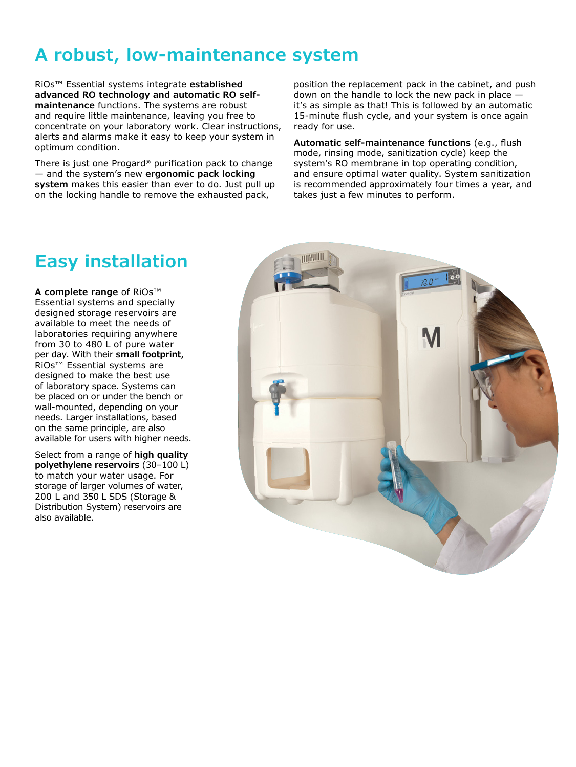## **A robust, low-maintenance system**

RiOs™ Essential systems integrate **established advanced RO technology and automatic RO selfmaintenance** functions. The systems are robust and require little maintenance, leaving you free to concentrate on your laboratory work. Clear instructions, alerts and alarms make it easy to keep your system in optimum condition.

There is just one Progard® purification pack to change — and the system's new **ergonomic pack locking system** makes this easier than ever to do. Just pull up on the locking handle to remove the exhausted pack,

position the replacement pack in the cabinet, and push down on the handle to lock the new pack in place  $$ it's as simple as that! This is followed by an automatic 15-minute flush cycle, and your system is once again ready for use.

**Automatic self-maintenance functions** (e.g., flush mode, rinsing mode, sanitization cycle) keep the system's RO membrane in top operating condition, and ensure optimal water quality. System sanitization is recommended approximately four times a year, and takes just a few minutes to perform.

### **Easy installation**

**A complete range** of RiOs™ Essential systems and specially designed storage reservoirs are available to meet the needs of laboratories requiring anywhere from 30 to 480 L of pure water per day. With their **small footprint,** RiOs™ Essential systems are designed to make the best use of laboratory space. Systems can be placed on or under the bench or wall-mounted, depending on your needs. Larger installations, based on the same principle, are also available for users with higher needs.

Select from a range of **high quality polyethylene reservoirs** (30–100 L) to match your water usage. For storage of larger volumes of water, 200 L and 350 L SDS (Storage & Distribution System) reservoirs are also available.

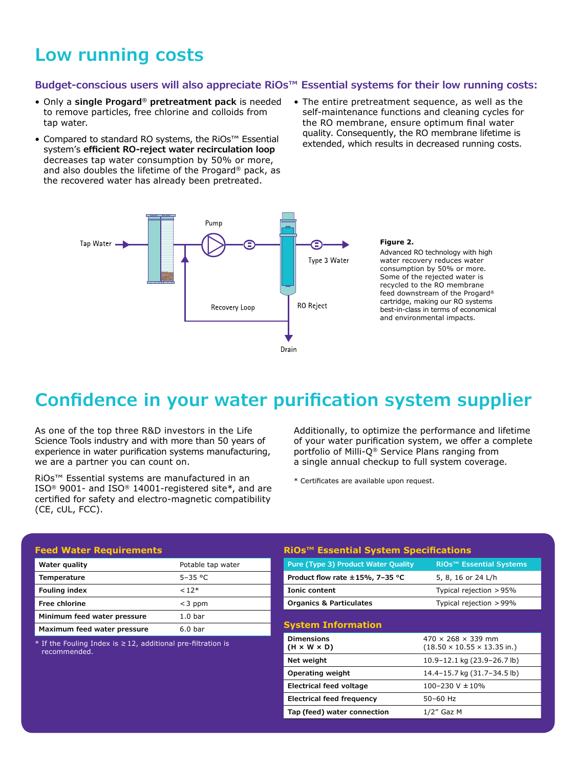#### **Low running costs**

#### **Budget-conscious users will also appreciate RiOs™ Essential systems for their low running costs:**

- Only a **single Progard® pretreatment pack** is needed to remove particles, free chlorine and colloids from tap water.
- Compared to standard RO systems, the RiOs™ Essential system's **efficient RO-reject water recirculation loop** decreases tap water consumption by 50% or more, and also doubles the lifetime of the Progard® pack, as the recovered water has already been pretreated.
- The entire pretreatment sequence, as well as the self-maintenance functions and cleaning cycles for the RO membrane, ensure optimum final water quality. Consequently, the RO membrane lifetime is extended, which results in decreased running costs.



#### **Figure 2.**

Advanced RO technology with high water recovery reduces water consumption by 50% or more. Some of the rejected water is recycled to the RO membrane feed downstream of the Progard® cartridge, making our RO systems best-in-class in terms of economical and environmental impacts.

### **Confidence in your water purification system supplier**

As one of the top three R&D investors in the Life Science Tools industry and with more than 50 years of experience in water purification systems manufacturing, we are a partner you can count on.

RiOs™ Essential systems are manufactured in an ISO® 9001- and ISO® 14001-registered site\*, and are certified for safety and electro-magnetic compatibility (CE, cUL, FCC).

Additionally, to optimize the performance and lifetime of your water purification system, we offer a complete portfolio of Milli-Q® Service Plans ranging from a single annual checkup to full system coverage.

\* Certificates are available upon request.

| <b>Feed Water Requirements</b>                      |                    |  |  |
|-----------------------------------------------------|--------------------|--|--|
| Water quality                                       | Potable tap water  |  |  |
| Temperature                                         | $5 - 35$ °C        |  |  |
| <b>Fouling index</b>                                | $< 12*$            |  |  |
| Free chlorine                                       | $<$ 3 ppm          |  |  |
| Minimum feed water pressure                         | 1.0 <sub>bar</sub> |  |  |
| Maximum feed water pressure                         | 6.0 <sub>bar</sub> |  |  |
| またえし こまい じせいしゅう しょうしょう こうしんしょう しゅうしん かんこうしょう しょうしょう |                    |  |  |

If the Fouling Index is  $\geq 12$ , additional pre-filtration is recommended.

#### **RiOs™ Essential System Specifications Pure (Type 3) Product Water Quality RiOs™ Essential Systems**

| Product flow rate $\pm$ 15%, 7-35 °C         | 5, 8, 16 or 24 L/h                                                                |
|----------------------------------------------|-----------------------------------------------------------------------------------|
| <b>Ionic content</b>                         | Typical rejection $> 95\%$                                                        |
| <b>Organics &amp; Particulates</b>           | Typical rejection > 99%                                                           |
| <b>System Information</b>                    |                                                                                   |
| <b>Dimensions</b><br>$(H \times W \times D)$ | $470 \times 268 \times 339$ mm<br>$(18.50 \times 10.55 \times 13.35 \text{ in.})$ |
| Net weight                                   | 10.9-12.1 kg (23.9-26.7 lb)                                                       |
| Operating weight                             | 14.4-15.7 kg (31.7-34.5 lb)                                                       |
| Electrical feed voltage                      | $100 - 230$ V $\pm 10\%$                                                          |
| <b>Electrical feed frequency</b>             | 50-60 Hz                                                                          |
| Tap (feed) water connection                  | $1/2''$ Gaz M                                                                     |